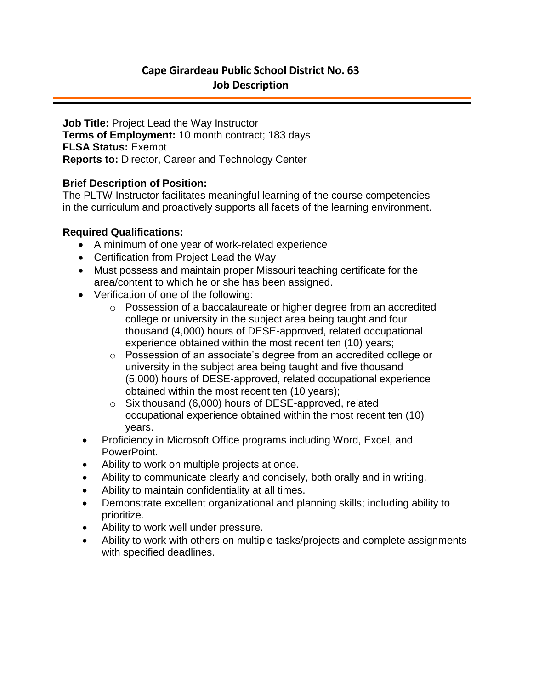# **Cape Girardeau Public School District No. 63 Job Description**

**Job Title:** Project Lead the Way Instructor **Terms of Employment:** 10 month contract; 183 days **FLSA Status:** Exempt **Reports to:** Director, Career and Technology Center

#### **Brief Description of Position:**

The PLTW Instructor facilitates meaningful learning of the course competencies in the curriculum and proactively supports all facets of the learning environment.

#### **Required Qualifications:**

- A minimum of one year of work-related experience
- Certification from Project Lead the Way
- Must possess and maintain proper Missouri teaching certificate for the area/content to which he or she has been assigned.
- Verification of one of the following:
	- o Possession of a baccalaureate or higher degree from an accredited college or university in the subject area being taught and four thousand (4,000) hours of DESE-approved, related occupational experience obtained within the most recent ten (10) years;
	- o Possession of an associate's degree from an accredited college or university in the subject area being taught and five thousand (5,000) hours of DESE-approved, related occupational experience obtained within the most recent ten (10 years);
	- o Six thousand (6,000) hours of DESE-approved, related occupational experience obtained within the most recent ten (10) years.
- Proficiency in Microsoft Office programs including Word, Excel, and PowerPoint.
- Ability to work on multiple projects at once.
- Ability to communicate clearly and concisely, both orally and in writing.
- Ability to maintain confidentiality at all times.
- Demonstrate excellent organizational and planning skills; including ability to prioritize.
- Ability to work well under pressure.
- Ability to work with others on multiple tasks/projects and complete assignments with specified deadlines.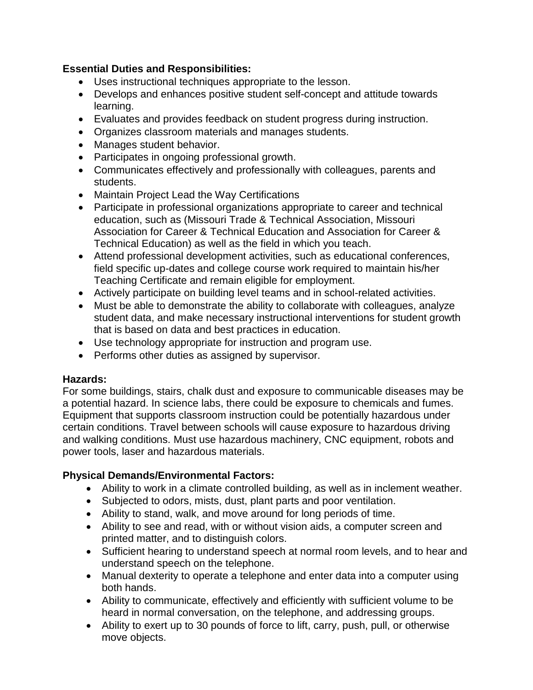## **Essential Duties and Responsibilities:**

- Uses instructional techniques appropriate to the lesson.
- Develops and enhances positive student self-concept and attitude towards learning.
- Evaluates and provides feedback on student progress during instruction.
- Organizes classroom materials and manages students.
- Manages student behavior.
- Participates in ongoing professional growth.
- Communicates effectively and professionally with colleagues, parents and students.
- Maintain Project Lead the Way Certifications
- Participate in professional organizations appropriate to career and technical education, such as (Missouri Trade & Technical Association, Missouri Association for Career & Technical Education and Association for Career & Technical Education) as well as the field in which you teach.
- Attend professional development activities, such as educational conferences, field specific up-dates and college course work required to maintain his/her Teaching Certificate and remain eligible for employment.
- Actively participate on building level teams and in school-related activities.
- Must be able to demonstrate the ability to collaborate with colleagues, analyze student data, and make necessary instructional interventions for student growth that is based on data and best practices in education.
- Use technology appropriate for instruction and program use.
- Performs other duties as assigned by supervisor.

## **Hazards:**

For some buildings, stairs, chalk dust and exposure to communicable diseases may be a potential hazard. In science labs, there could be exposure to chemicals and fumes. Equipment that supports classroom instruction could be potentially hazardous under certain conditions. Travel between schools will cause exposure to hazardous driving and walking conditions. Must use hazardous machinery, CNC equipment, robots and power tools, laser and hazardous materials.

## **Physical Demands/Environmental Factors:**

- Ability to work in a climate controlled building, as well as in inclement weather.
- Subjected to odors, mists, dust, plant parts and poor ventilation.
- Ability to stand, walk, and move around for long periods of time.
- Ability to see and read, with or without vision aids, a computer screen and printed matter, and to distinguish colors.
- Sufficient hearing to understand speech at normal room levels, and to hear and understand speech on the telephone.
- Manual dexterity to operate a telephone and enter data into a computer using both hands.
- Ability to communicate, effectively and efficiently with sufficient volume to be heard in normal conversation, on the telephone, and addressing groups.
- Ability to exert up to 30 pounds of force to lift, carry, push, pull, or otherwise move objects.